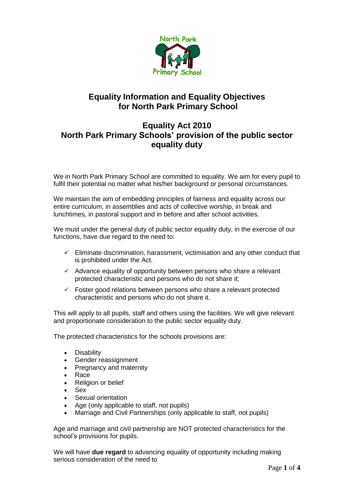

# **Equality Information and Equality Objectives for North Park Primary School**

# **Equality Act 2010 North Park Primary Schools' provision of the public sector equality duty**

We in North Park Primary School are committed to equality. We aim for every pupil to fulfil their potential no matter what his/her background or personal circumstances.

We maintain the aim of embedding principles of fairness and equality across our entire curriculum, in assemblies and acts of collective worship, in break and lunchtimes, in pastoral support and in before and after school activities.

We must under the general duty of public sector equality duty, in the exercise of our functions, have due regard to the need to:

- $\checkmark$  Eliminate discrimination, harassment, victimisation and any other conduct that is prohibited under the Act.
- $\checkmark$  Advance equality of opportunity between persons who share a relevant protected characteristic and persons who do not share it;
- ✓ Foster good relations between persons who share a relevant protected characteristic and persons who do not share it.

This will apply to all pupils, staff and others using the facilities. We will give relevant and proportionate consideration to the public sector equality duty.

The protected characteristics for the schools provisions are:

- Disability
- Gender reassignment
- Pregnancy and maternity
- Race
- Religion or belief
- Sex
- Sexual orientation
- Age (only applicable to staff, not pupils)
- Marriage and Civil Partnerships (only applicable to staff, not pupils)

Age and marriage and civil partnership are NOT protected characteristics for the school's provisions for pupils.

We will have **due regard** to advancing equality of opportunity including making serious consideration of the need to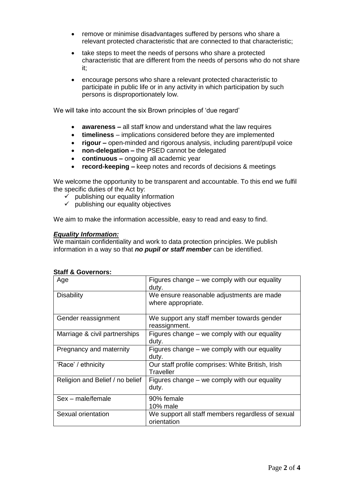- remove or minimise disadvantages suffered by persons who share a relevant protected characteristic that are connected to that characteristic;
- take steps to meet the needs of persons who share a protected characteristic that are different from the needs of persons who do not share it;
- encourage persons who share a relevant protected characteristic to participate in public life or in any activity in which participation by such persons is disproportionately low.

We will take into account the six Brown principles of 'due regard'

- **awareness –** all staff know and understand what the law requires
- **timeliness**  implications considered before they are implemented
- **rigour –** open-minded and rigorous analysis, including parent/pupil voice
- **non-delegation –** the PSED cannot be delegated
- **continuous –** ongoing all academic year
- **record-keeping –** keep notes and records of decisions & meetings

We welcome the opportunity to be transparent and accountable. To this end we fulfil the specific duties of the Act by:

- $\checkmark$  publishing our equality information
- $\checkmark$  publishing our equality objectives

We aim to make the information accessible, easy to read and easy to find.

### *Equality Information:*

We maintain confidentiality and work to data protection principles. We publish information in a way so that *no pupil or staff member* can be identified.

| Age                             | Figures change – we comply with our equality<br>duty.            |
|---------------------------------|------------------------------------------------------------------|
| <b>Disability</b>               | We ensure reasonable adjustments are made<br>where appropriate.  |
| Gender reassignment             | We support any staff member towards gender<br>reassignment.      |
| Marriage & civil partnerships   | Figures change – we comply with our equality<br>duty.            |
| Pregnancy and maternity         | Figures change – we comply with our equality<br>duty.            |
| 'Race' / ethnicity              | Our staff profile comprises: White British, Irish<br>Traveller   |
| Religion and Belief / no belief | Figures change – we comply with our equality<br>duty.            |
| Sex - male/female               | 90% female<br>10% male                                           |
| Sexual orientation              | We support all staff members regardless of sexual<br>orientation |

## **Staff & Governors:**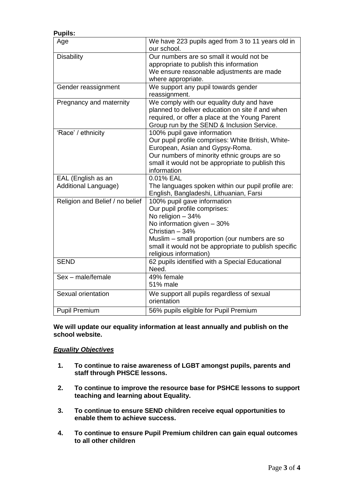| <b>Pupils:</b>                  |                                                                  |
|---------------------------------|------------------------------------------------------------------|
| Age                             | We have 223 pupils aged from 3 to 11 years old in<br>our school. |
| <b>Disability</b>               | Our numbers are so small it would not be                         |
|                                 | appropriate to publish this information                          |
|                                 | We ensure reasonable adjustments are made                        |
|                                 | where appropriate.                                               |
| Gender reassignment             | We support any pupil towards gender                              |
|                                 | reassignment.                                                    |
| Pregnancy and maternity         | We comply with our equality duty and have                        |
|                                 | planned to deliver education on site if and when                 |
|                                 | required, or offer a place at the Young Parent                   |
|                                 | Group run by the SEND & Inclusion Service.                       |
| 'Race' / ethnicity              | 100% pupil gave information                                      |
|                                 | Our pupil profile comprises: White British, White-               |
|                                 | European, Asian and Gypsy-Roma.                                  |
|                                 | Our numbers of minority ethnic groups are so                     |
|                                 | small it would not be appropriate to publish this                |
|                                 | information                                                      |
| EAL (English as an              | 0.01% EAL                                                        |
| Additional Language)            | The languages spoken within our pupil profile are:               |
|                                 | English, Bangladeshi, Lithuanian, Farsi                          |
| Religion and Belief / no belief | 100% pupil gave information                                      |
|                                 | Our pupil profile comprises:                                     |
|                                 | No religion - 34%                                                |
|                                 | No information given - 30%                                       |
|                                 | Christian - 34%                                                  |
|                                 | Muslim - small proportion (our numbers are so                    |
|                                 | small it would not be appropriate to publish specific            |
|                                 | religious information)                                           |
| <b>SEND</b>                     | 62 pupils identified with a Special Educational                  |
|                                 | Need.                                                            |
| Sex - male/female               | 49% female                                                       |
|                                 | 51% male                                                         |
| Sexual orientation              | We support all pupils regardless of sexual                       |
|                                 | orientation                                                      |
| <b>Pupil Premium</b>            | 56% pupils eligible for Pupil Premium                            |

**We will update our equality information at least annually and publish on the school website.**

### *Equality Objectives*

- **1. To continue to raise awareness of LGBT amongst pupils, parents and staff through PHSCE lessons.**
- **2. To continue to improve the resource base for PSHCE lessons to support teaching and learning about Equality.**
- **3. To continue to ensure SEND children receive equal opportunities to enable them to achieve success.**
- **4. To continue to ensure Pupil Premium children can gain equal outcomes to all other children**